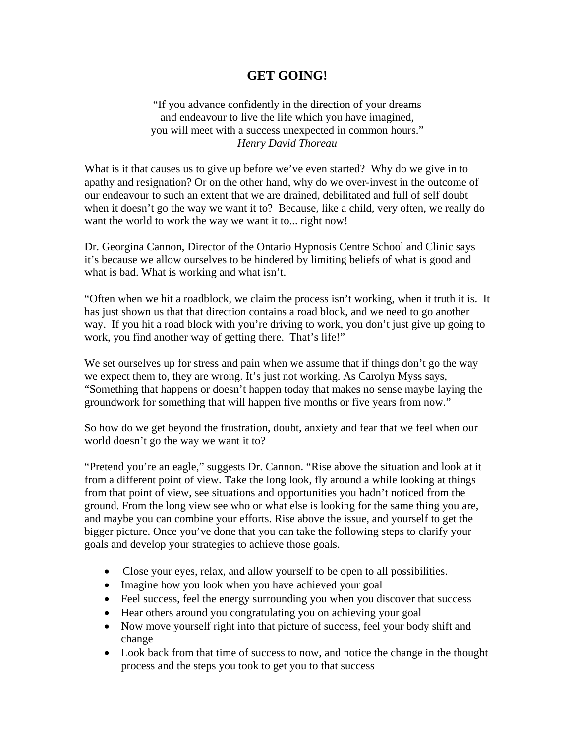## **GET GOING!**

"If you advance confidently in the direction of your dreams and endeavour to live the life which you have imagined, you will meet with a success unexpected in common hours." *Henry David Thoreau* 

What is it that causes us to give up before we've even started? Why do we give in to apathy and resignation? Or on the other hand, why do we over-invest in the outcome of our endeavour to such an extent that we are drained, debilitated and full of self doubt when it doesn't go the way we want it to? Because, like a child, very often, we really do want the world to work the way we want it to... right now!

Dr. Georgina Cannon, Director of the Ontario Hypnosis Centre School and Clinic says it's because we allow ourselves to be hindered by limiting beliefs of what is good and what is bad. What is working and what isn't.

"Often when we hit a roadblock, we claim the process isn't working, when it truth it is. It has just shown us that that direction contains a road block, and we need to go another way. If you hit a road block with you're driving to work, you don't just give up going to work, you find another way of getting there. That's life!"

We set ourselves up for stress and pain when we assume that if things don't go the way we expect them to, they are wrong. It's just not working. As Carolyn Myss says, "Something that happens or doesn't happen today that makes no sense maybe laying the groundwork for something that will happen five months or five years from now."

So how do we get beyond the frustration, doubt, anxiety and fear that we feel when our world doesn't go the way we want it to?

"Pretend you're an eagle," suggests Dr. Cannon. "Rise above the situation and look at it from a different point of view. Take the long look, fly around a while looking at things from that point of view, see situations and opportunities you hadn't noticed from the ground. From the long view see who or what else is looking for the same thing you are, and maybe you can combine your efforts. Rise above the issue, and yourself to get the bigger picture. Once you've done that you can take the following steps to clarify your goals and develop your strategies to achieve those goals.

- Close your eyes, relax, and allow yourself to be open to all possibilities.
- Imagine how you look when you have achieved your goal
- Feel success, feel the energy surrounding you when you discover that success
- Hear others around you congratulating you on achieving your goal
- Now move yourself right into that picture of success, feel your body shift and change
- Look back from that time of success to now, and notice the change in the thought process and the steps you took to get you to that success